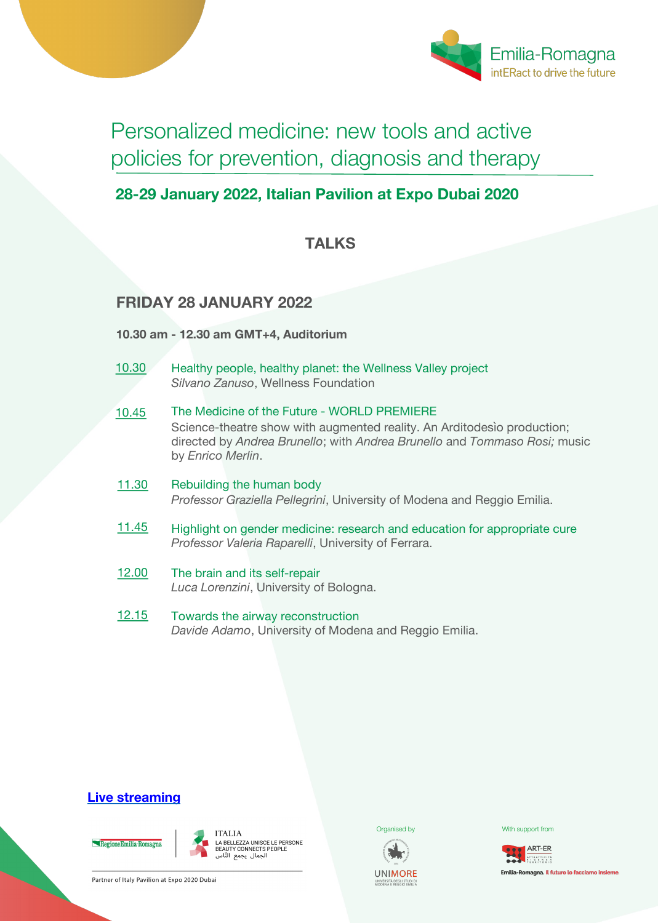

Personalized medicine: new tools and active policies for prevention, diagnosis and therapy

# **28-29 January 2022, Italian Pavilion at Expo Dubai 2020**

## **TALKS**

## **FRIDAY 28 JANUARY 2022**

**10.30 am - 12.30 am GMT+4, Auditorium**

- Healthy people, healthy planet: the Wellness Valley project *Silvano Zanuso*, Wellness Foundation 10.30
- The Medicine of the Future WORLD PREMIERE Science-theatre show with augmented reality. An Arditodesìo production; directed by *Andrea Brunello*; with *Andrea Brunello* and *Tommaso Rosi;* music by *Enrico Merlin*. 10.45
- Rebuilding the human body *Professor Graziella Pellegrini*, University of Modena and Reggio Emilia. 11.30
- Highlight on gender medicine: research and education for appropriate cure *Professor Valeria Raparelli*, University of Ferrara. 11.45
- The brain and its self-repair *Luca Lorenzini*, University of Bologna. 12.00
- Towards the airway reconstruction *Davide Adamo*, University of Modena and Reggio Emilia. 12.15

## **Live streaming**





A BELLEZZA UNISCE LE PERSONE BEAUTY CONNECTS PEOPLE 

Partner of Italy Pavilion at Expo 2020 Dubai





**Organised by Community Community** With support from

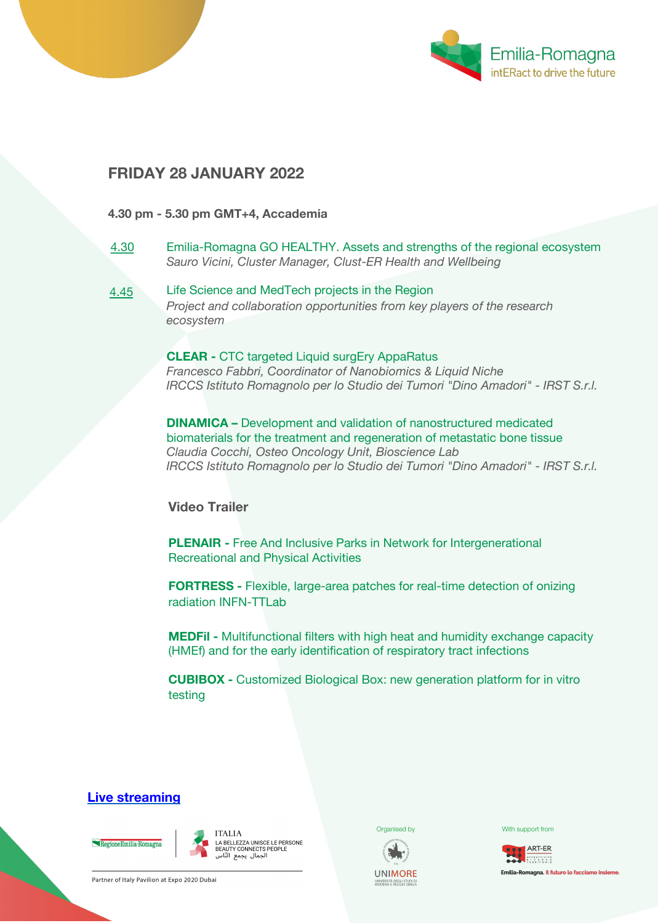

### **FRIDAY 28 JANUARY 2022**

4.45

#### **4.30 pm - 5.30 pm GMT+4, Accademia**

- Emilia-Romagna GO HEALTHY. Assets and strengths of the regional ecosystem *Sauro Vicini, Cluster Manager, Clust-ER Health and Wellbeing* 4.30
	- Life Science and MedTech projects in the Region *Project and collaboration opportunities from key players of the research ecosystem*

**CLEAR -** CTC targeted Liquid surgEry AppaRatus *Francesco Fabbri, Coordinator of Nanobiomics & Liquid Niche IRCCS Istituto Romagnolo per lo Studio dei Tumori "Dino Amadori" - IRST S.r.l.*

**DINAMICA –** Development and validation of nanostructured medicated biomaterials for the treatment and regeneration of metastatic bone tissue *Claudia Cocchi, Osteo Oncology Unit, Bioscience Lab IRCCS Istituto Romagnolo per lo Studio dei Tumori "Dino Amadori" - IRST S.r.l.*

**Video Trailer**

**PLENAIR -** Free And Inclusive Parks in Network for Intergenerational Recreational and Physical Activities

**FORTRESS -** Flexible, large-area patches for real-time detection of onizing radiation INFN-TTLab

**MEDFil -** Multifunctional filters with high heat and humidity exchange capacity (HMEf) and for the early identification of respiratory tract infections

**CUBIBOX -** Customized Biological Box: new generation platform for in vitro testing

### **Live streaming**





Partner of Italy Pavilion at Expo 2020 Dubai



**UNIMORF** 



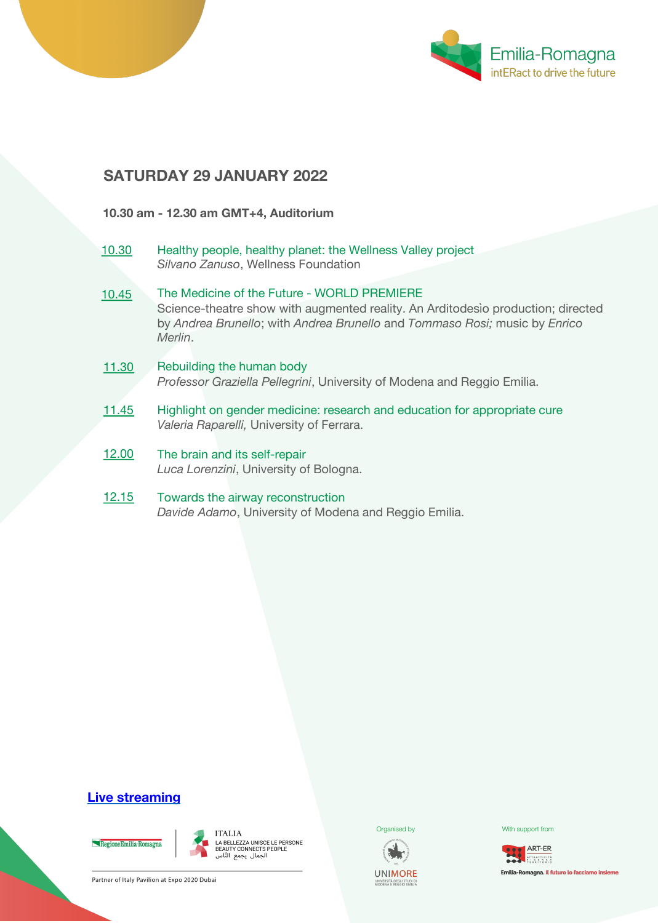

## **SATURDAY 29 JANUARY 2022**

#### **10.30 am - 12.30 am GMT+4, Auditorium**

- Healthy people, healthy planet: the Wellness Valley project *Silvano Zanuso*, Wellness Foundation 10.30
- The Medicine of the Future WORLD PREMIERE Science-theatre show with augmented reality. An Arditodesìo production; directed by *Andrea Brunello*; with *Andrea Brunello* and *Tommaso Rosi;* music by *Enrico Merlin*. 10.45
- Rebuilding the human body *Professor Graziella Pellegrini*, University of Modena and Reggio Emilia. 11.30
- Highlight on gender medicine: research and education for appropriate cure *Valeria Raparelli,* University of Ferrara. 11.45
- The brain and its self-repair *Luca Lorenzini*, University of Bologna. 12.00
- Towards the airway reconstruction *Davide Adamo*, University of Modena and Reggio Emilia. 12.15

### **Live streaming**

### Regione Emilia-Romagn



I I ALIA<br>LA BELLEZZA UNISCE LE PERSONE<br>BEAUTY CONNECTS PEOPLE<br>الجمال يجمع النّاس





**Organised by Community Community** With support from



Partner of Italy Pavilion at Expo 2020 Dubai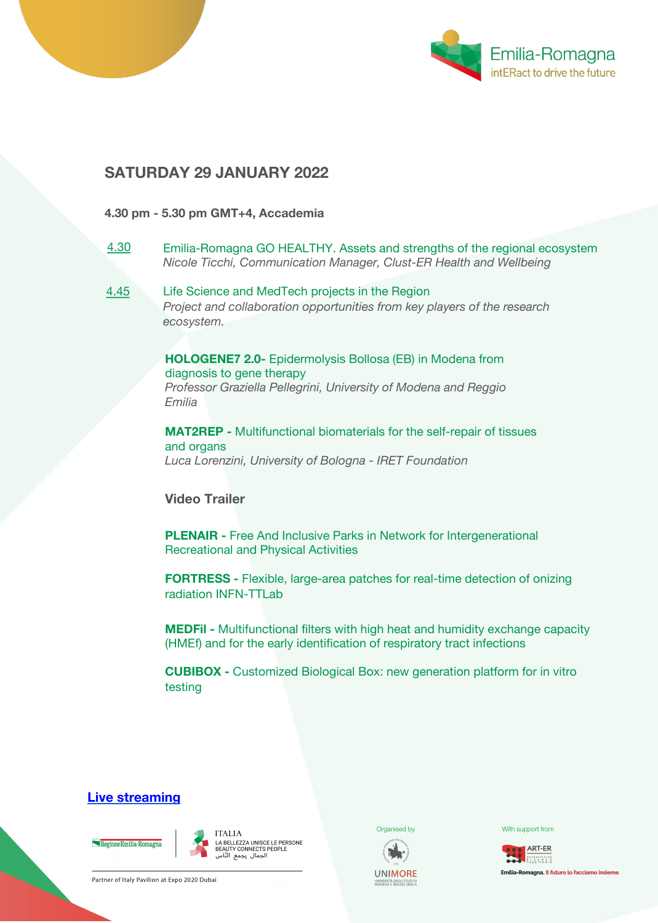

### **SATURDAY 29 JANUARY 2022**

#### **4.30 pm - 5.30 pm GMT+4, Accademia**

- Emilia-Romagna GO HEALTHY. Assets and strengths of the regional ecosystem *Nicole Ticchi, Communication Manager, Clust-ER Health and Wellbeing* 4.30
- Life Science and MedTech projects in the Region *Project and collaboration opportunities from key players of the research ecosystem.* 4.45

**HOLOGENE7 2.0-** Epidermolysis Bollosa (EB) in Modena from diagnosis to gene therapy *Professor Graziella Pellegrini, University of Modena and Reggio Emilia* 

**MAT2REP -** Multifunctional biomaterials for the self-repair of tissues and organs *Luca Lorenzini, University of Bologna - IRET Foundation* 

**Video Trailer**

**PLENAIR -** Free And Inclusive Parks in Network for Intergenerational Recreational and Physical Activities

**FORTRESS -** Flexible, large-area patches for real-time detection of onizing radiation INFN-TTLab

**MEDFil -** Multifunctional filters with high heat and humidity exchange capacity (HMEf) and for the early identification of respiratory tract infections

**CUBIBOX -** Customized Biological Box: new generation platform for in vitro testing

### **Live streaming**





Partner of Italy Pavilion at Expo 2020 Dubai



**UNIMORE** 



**Organised by Community Community** With support from